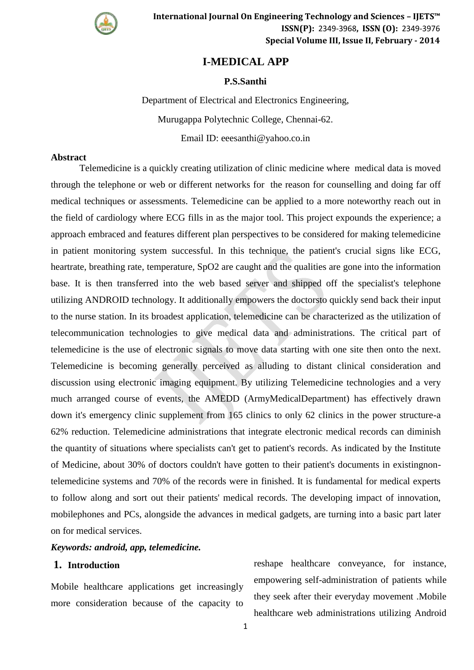

# **I-MEDICAL APP**

### **P.S.Santhi**

Department of Electrical and Electronics Engineering, Murugappa Polytechnic College, Chennai-62.

Email ID: eeesanthi@yahoo.co.in

#### **Abstract**

Telemedicine is a quickly creating utilization of clinic medicine where medical data is moved through the telephone or web or different networks for the reason for counselling and doing far off medical techniques or assessments. Telemedicine can be applied to a more noteworthy reach out in the field of cardiology where ECG fills in as the major tool. This project expounds the experience; a approach embraced and features different plan perspectives to be considered for making telemedicine in patient monitoring system successful. In this technique, the patient's crucial signs like ECG, heartrate, breathing rate, temperature, SpO2 are caught and the qualities are gone into the information base. It is then transferred into the web based server and shipped off the specialist's telephone utilizing ANDROID technology. It additionally empowers the doctorsto quickly send back their input to the nurse station. In its broadest application, telemedicine can be characterized as the utilization of telecommunication technologies to give medical data and administrations. The critical part of telemedicine is the use of electronic signals to move data starting with one site then onto the next. Telemedicine is becoming generally perceived as alluding to distant clinical consideration and discussion using electronic imaging equipment. By utilizing Telemedicine technologies and a very much arranged course of events, the AMEDD (ArmyMedicalDepartment) has effectively drawn down it's emergency clinic supplement from 165 clinics to only 62 clinics in the power structure-a 62% reduction. Telemedicine administrations that integrate electronic medical records can diminish the quantity of situations where specialists can't get to patient's records. As indicated by the Institute of Medicine, about 30% of doctors couldn't have gotten to their patient's documents in existingnontelemedicine systems and 70% of the records were in finished. It is fundamental for medical experts to follow along and sort out their patients' medical records. The developing impact of innovation, mobilephones and PCs, alongside the advances in medical gadgets, are turning into a basic part later on for medical services.

*Keywords: android, app, telemedicine.*

## **1. Introduction**

Mobile healthcare applications get increasingly more consideration because of the capacity to

reshape healthcare conveyance, for instance, empowering self-administration of patients while they seek after their everyday movement .Mobile healthcare web administrations utilizing Android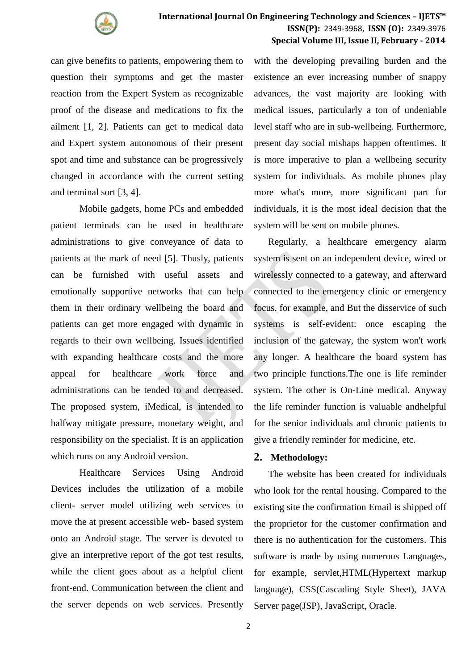

## **International Journal On Engineering Technology and Sciences – IJETS™ ISSN(P):** 2349-3968**, ISSN (O):** 2349-3976 **Special Volume III, Issue II, February - 2014**

can give benefits to patients, empowering them to question their symptoms and get the master reaction from the Expert System as recognizable proof of the disease and medications to fix the ailment [1, 2]. Patients can get to medical data and Expert system autonomous of their present spot and time and substance can be progressively changed in accordance with the current setting and terminal sort [3, 4].

Mobile gadgets, home PCs and embedded patient terminals can be used in healthcare administrations to give conveyance of data to patients at the mark of need [5]. Thusly, patients can be furnished with useful assets and emotionally supportive networks that can help them in their ordinary wellbeing the board and patients can get more engaged with dynamic in regards to their own wellbeing. Issues identified with expanding healthcare costs and the more appeal for healthcare work force and administrations can be tended to and decreased. The proposed system, iMedical, is intended to halfway mitigate pressure, monetary weight, and responsibility on the specialist. It is an application which runs on any Android version.

Healthcare Services Using Android Devices includes the utilization of a mobile client- server model utilizing web services to move the at present accessible web- based system onto an Android stage. The server is devoted to give an interpretive report of the got test results, while the client goes about as a helpful client front-end. Communication between the client and the server depends on web services. Presently

with the developing prevailing burden and the existence an ever increasing number of snappy advances, the vast majority are looking with medical issues, particularly a ton of undeniable level staff who are in sub-wellbeing. Furthermore, present day social mishaps happen oftentimes. It is more imperative to plan a wellbeing security system for individuals. As mobile phones play more what's more, more significant part for individuals, it is the most ideal decision that the system will be sent on mobile phones.

Regularly, a healthcare emergency alarm system is sent on an independent device, wired or wirelessly connected to a gateway, and afterward connected to the emergency clinic or emergency focus, for example, and But the disservice of such systems is self-evident: once escaping the inclusion of the gateway, the system won't work any longer. A healthcare the board system has two principle functions.The one is life reminder system. The other is On-Line medical. Anyway the life reminder function is valuable andhelpful for the senior individuals and chronic patients to give a friendly reminder for medicine, etc.

## **2. Methodology:**

The website has been created for individuals who look for the rental housing. Compared to the existing site the confirmation Email is shipped off the proprietor for the customer confirmation and there is no authentication for the customers. This software is made by using numerous Languages, for example, servlet,HTML(Hypertext markup language), CSS(Cascading Style Sheet), JAVA Server page(JSP), JavaScript, Oracle.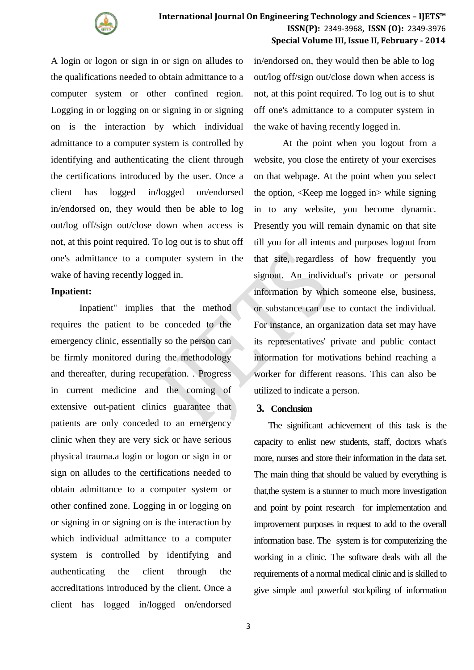

A login or logon or sign in or sign on alludes to the qualifications needed to obtain admittance to a computer system or other confined region. Logging in or logging on or signing in or signing on is the interaction by which individual admittance to a computer system is controlled by identifying and authenticating the client through the certifications introduced by the user. Once a client has logged in/logged on/endorsed in/endorsed on, they would then be able to log out/log off/sign out/close down when access is not, at this point required. To log out is to shut off one's admittance to a computer system in the wake of having recently logged in.

### **Inpatient:**

Inpatient" implies that the method requires the patient to be conceded to the emergency clinic, essentially so the person can be firmly monitored during the methodology and thereafter, during recuperation. . Progress in current medicine and the coming of extensive out-patient clinics guarantee that patients are only conceded to an emergency clinic when they are very sick or have serious physical trauma.a login or logon or sign in or sign on alludes to the certifications needed to obtain admittance to a computer system or other confined zone. Logging in or logging on or signing in or signing on is the interaction by which individual admittance to a computer system is controlled by identifying and authenticating the client through the accreditations introduced by the client. Once a client has logged in/logged on/endorsed

in/endorsed on, they would then be able to log out/log off/sign out/close down when access is not, at this point required. To log out is to shut off one's admittance to a computer system in the wake of having recently logged in.

At the point when you logout from a website, you close the entirety of your exercises on that webpage. At the point when you select the option, <Keep me logged in> while signing in to any website, you become dynamic. Presently you will remain dynamic on that site till you for all intents and purposes logout from that site, regardless of how frequently you signout. An individual's private or personal information by which someone else, business, or substance can use to contact the individual. For instance, an organization data set may have its representatives' private and public contact information for motivations behind reaching a worker for different reasons. This can also be utilized to indicate a person.

#### **3. Conclusion**

The significant achievement of this task is the capacity to enlist new students, staff, doctors what's more, nurses and store their information in the data set. The main thing that should be valued by everything is that,the system is a stunner to much more investigation and point by point research for implementation and improvement purposes in request to add to the overall information base. The system is for computerizing the working in a clinic. The software deals with all the requirements of a normal medical clinic and is skilled to give simple and powerful stockpiling of information